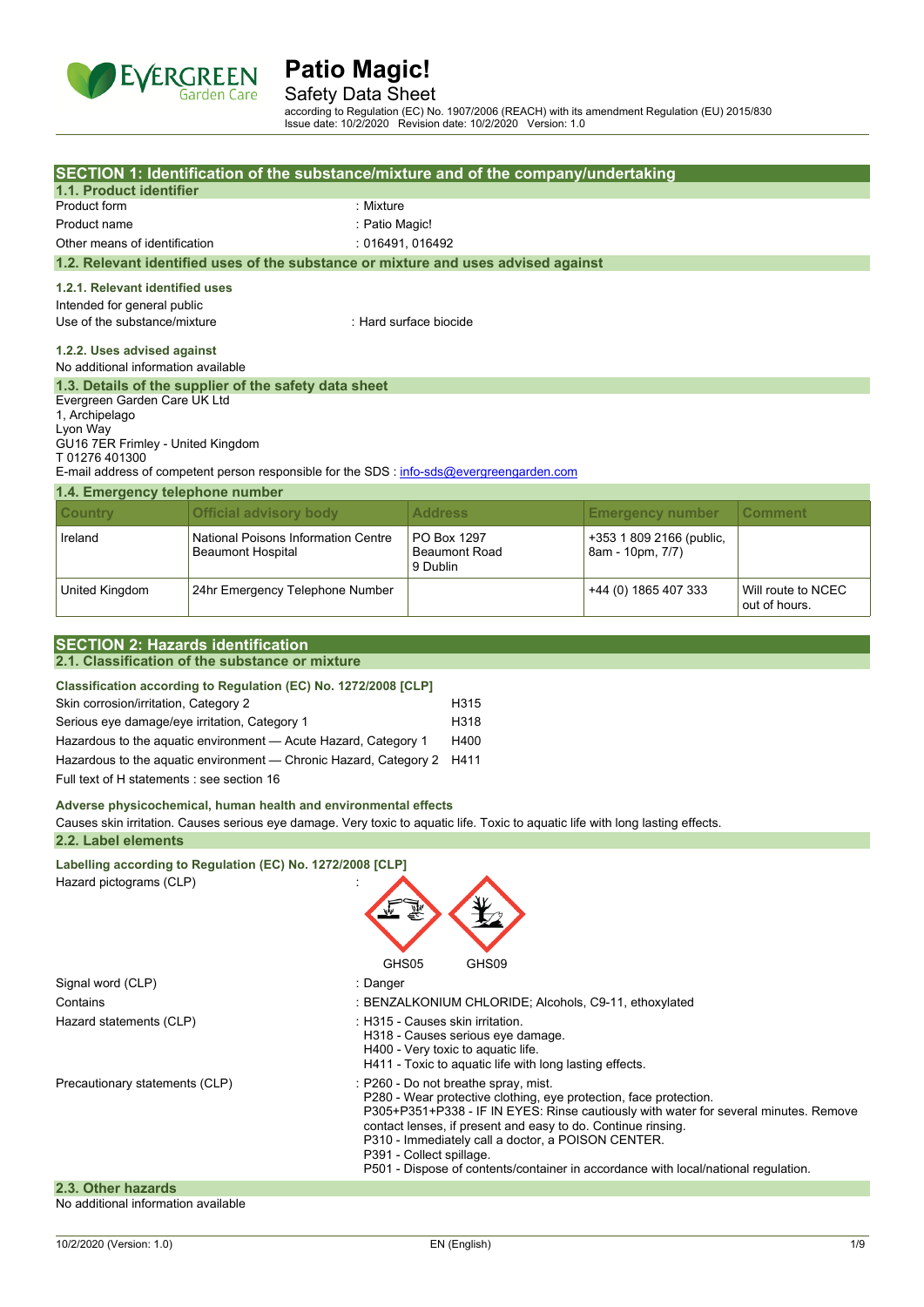

Safety Data Sheet

according to Regulation (EC) No. 1907/2006 (REACH) with its amendment Regulation (EU) 2015/830 Issue date: 10/2/2020 Revision date: 10/2/2020 Version: 1.0

|                                                                                                                                                           | SECTION 1: Identification of the substance/mixture and of the company/undertaking                                               |                |                                                                                    |                          |                    |
|-----------------------------------------------------------------------------------------------------------------------------------------------------------|---------------------------------------------------------------------------------------------------------------------------------|----------------|------------------------------------------------------------------------------------|--------------------------|--------------------|
| 1.1. Product identifier                                                                                                                                   |                                                                                                                                 |                |                                                                                    |                          |                    |
| Product form                                                                                                                                              | : Mixture                                                                                                                       |                |                                                                                    |                          |                    |
| Product name                                                                                                                                              |                                                                                                                                 | : Patio Magic! |                                                                                    |                          |                    |
| Other means of identification                                                                                                                             |                                                                                                                                 |                | : 016491, 016492                                                                   |                          |                    |
|                                                                                                                                                           | 1.2. Relevant identified uses of the substance or mixture and uses advised against                                              |                |                                                                                    |                          |                    |
| 1.2.1. Relevant identified uses                                                                                                                           |                                                                                                                                 |                |                                                                                    |                          |                    |
| Intended for general public                                                                                                                               |                                                                                                                                 |                |                                                                                    |                          |                    |
| Use of the substance/mixture                                                                                                                              |                                                                                                                                 |                | : Hard surface biocide                                                             |                          |                    |
| 1.2.2. Uses advised against                                                                                                                               |                                                                                                                                 |                |                                                                                    |                          |                    |
| No additional information available                                                                                                                       |                                                                                                                                 |                |                                                                                    |                          |                    |
|                                                                                                                                                           | 1.3. Details of the supplier of the safety data sheet                                                                           |                |                                                                                    |                          |                    |
| Evergreen Garden Care UK Ltd                                                                                                                              |                                                                                                                                 |                |                                                                                    |                          |                    |
| 1, Archipelago                                                                                                                                            |                                                                                                                                 |                |                                                                                    |                          |                    |
| Lyon Way<br>GU16 7ER Frimley - United Kingdom                                                                                                             |                                                                                                                                 |                |                                                                                    |                          |                    |
| T01276401300                                                                                                                                              |                                                                                                                                 |                |                                                                                    |                          |                    |
|                                                                                                                                                           | E-mail address of competent person responsible for the SDS : info-sds@evergreengarden.com                                       |                |                                                                                    |                          |                    |
| 1.4. Emergency telephone number                                                                                                                           |                                                                                                                                 |                |                                                                                    |                          |                    |
| <b>Country</b>                                                                                                                                            | <b>Official advisory body</b>                                                                                                   |                | <b>Address</b>                                                                     | <b>Emergency number</b>  | <b>Comment</b>     |
| Ireland                                                                                                                                                   | National Poisons Information Centre                                                                                             |                | PO Box 1297                                                                        | +353 1 809 2166 (public, |                    |
|                                                                                                                                                           | <b>Beaumont Hospital</b>                                                                                                        |                | <b>Beaumont Road</b>                                                               | 8am - 10pm, 7/7)         |                    |
|                                                                                                                                                           |                                                                                                                                 |                | 9 Dublin                                                                           |                          |                    |
| United Kingdom                                                                                                                                            | 24hr Emergency Telephone Number                                                                                                 |                |                                                                                    | +44 (0) 1865 407 333     | Will route to NCEC |
|                                                                                                                                                           |                                                                                                                                 |                |                                                                                    |                          | out of hours.      |
|                                                                                                                                                           |                                                                                                                                 |                |                                                                                    |                          |                    |
| <b>SECTION 2: Hazards identification</b>                                                                                                                  |                                                                                                                                 |                |                                                                                    |                          |                    |
|                                                                                                                                                           | 2.1. Classification of the substance or mixture                                                                                 |                |                                                                                    |                          |                    |
|                                                                                                                                                           | Classification according to Regulation (EC) No. 1272/2008 [CLP]                                                                 |                |                                                                                    |                          |                    |
| Skin corrosion/irritation, Category 2                                                                                                                     |                                                                                                                                 |                | H315                                                                               |                          |                    |
| Serious eye damage/eye irritation, Category 1                                                                                                             |                                                                                                                                 |                | H318                                                                               |                          |                    |
|                                                                                                                                                           | Hazardous to the aquatic environment - Acute Hazard, Category 1                                                                 |                | H400                                                                               |                          |                    |
|                                                                                                                                                           | Hazardous to the aquatic environment - Chronic Hazard, Category 2                                                               |                | H411                                                                               |                          |                    |
| Full text of H statements : see section 16                                                                                                                |                                                                                                                                 |                |                                                                                    |                          |                    |
|                                                                                                                                                           | Adverse physicochemical, human health and environmental effects                                                                 |                |                                                                                    |                          |                    |
|                                                                                                                                                           | Causes skin irritation. Causes serious eye damage. Very toxic to aquatic life. Toxic to aquatic life with long lasting effects. |                |                                                                                    |                          |                    |
| 2.2. Label elements                                                                                                                                       |                                                                                                                                 |                |                                                                                    |                          |                    |
|                                                                                                                                                           | Labelling according to Regulation (EC) No. 1272/2008 [CLP]                                                                      |                |                                                                                    |                          |                    |
| Hazard pictograms (CLP)                                                                                                                                   |                                                                                                                                 |                |                                                                                    |                          |                    |
|                                                                                                                                                           |                                                                                                                                 |                |                                                                                    |                          |                    |
|                                                                                                                                                           |                                                                                                                                 |                |                                                                                    |                          |                    |
|                                                                                                                                                           |                                                                                                                                 |                |                                                                                    |                          |                    |
|                                                                                                                                                           |                                                                                                                                 |                |                                                                                    |                          |                    |
|                                                                                                                                                           |                                                                                                                                 | GHS05          | GHS09                                                                              |                          |                    |
| Signal word (CLP)                                                                                                                                         |                                                                                                                                 | : Danger       |                                                                                    |                          |                    |
|                                                                                                                                                           | Contains<br>: BENZALKONIUM CHLORIDE; Alcohols, C9-11, ethoxylated                                                               |                |                                                                                    |                          |                    |
|                                                                                                                                                           | Hazard statements (CLP)<br>:H315 - Causes skin irritation.<br>H318 - Causes serious eye damage.                                 |                |                                                                                    |                          |                    |
| H400 - Very toxic to aquatic life.                                                                                                                        |                                                                                                                                 |                |                                                                                    |                          |                    |
|                                                                                                                                                           |                                                                                                                                 |                | H411 - Toxic to aquatic life with long lasting effects.                            |                          |                    |
| Precautionary statements (CLP)                                                                                                                            |                                                                                                                                 |                | : P260 - Do not breathe spray, mist.                                               |                          |                    |
| P280 - Wear protective clothing, eye protection, face protection.<br>P305+P351+P338 - IF IN EYES: Rinse cautiously with water for several minutes. Remove |                                                                                                                                 |                |                                                                                    |                          |                    |
| contact lenses, if present and easy to do. Continue rinsing.                                                                                              |                                                                                                                                 |                |                                                                                    |                          |                    |
|                                                                                                                                                           |                                                                                                                                 |                | P310 - Immediately call a doctor, a POISON CENTER.<br>P391 - Collect spillage.     |                          |                    |
|                                                                                                                                                           |                                                                                                                                 |                | P501 - Dispose of contents/container in accordance with local/national regulation. |                          |                    |
| 2.3. Other hazards                                                                                                                                        |                                                                                                                                 |                |                                                                                    |                          |                    |
| No additional information available                                                                                                                       |                                                                                                                                 |                |                                                                                    |                          |                    |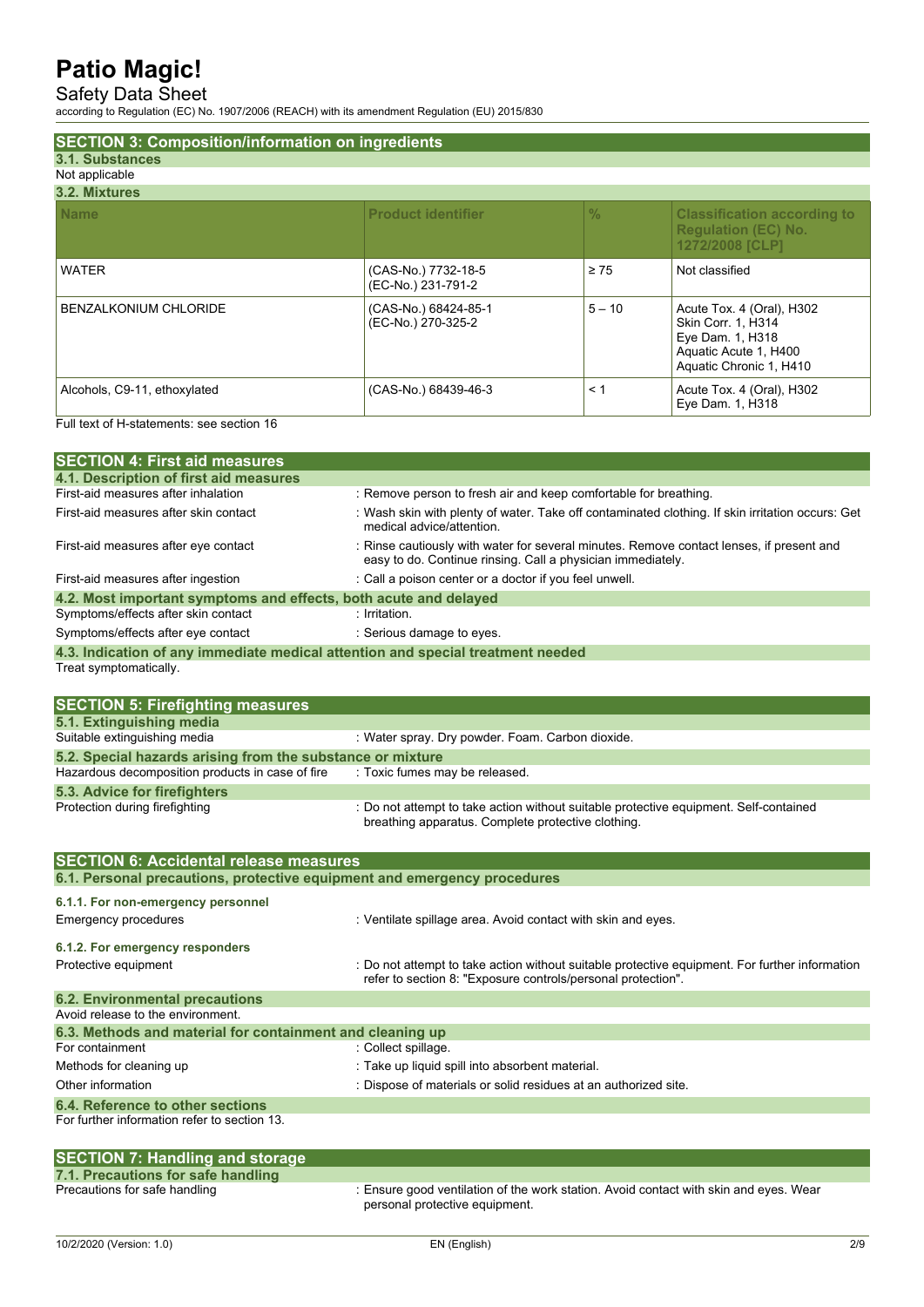### Safety Data Sheet

according to Regulation (EC) No. 1907/2006 (REACH) with its amendment Regulation (EU) 2015/830

| <b>SECTION 3: Composition/information on ingredients</b> |                                            |               |                                                                                                                         |
|----------------------------------------------------------|--------------------------------------------|---------------|-------------------------------------------------------------------------------------------------------------------------|
| 3.1. Substances                                          |                                            |               |                                                                                                                         |
| Not applicable                                           |                                            |               |                                                                                                                         |
| 3.2. Mixtures                                            |                                            |               |                                                                                                                         |
| <b>Name</b>                                              | <b>Product identifier</b>                  | $\frac{0}{0}$ | <b>Classification according to</b><br><b>Regulation (EC) No.</b><br>1272/2008 [CLP]                                     |
| <b>WATER</b>                                             | (CAS-No.) 7732-18-5<br>(EC-No.) 231-791-2  | $\geq 75$     | Not classified                                                                                                          |
| <b>BENZALKONIUM CHLORIDE</b>                             | (CAS-No.) 68424-85-1<br>(EC-No.) 270-325-2 | $5 - 10$      | Acute Tox. 4 (Oral), H302<br>Skin Corr. 1, H314<br>Eye Dam. 1, H318<br>Aquatic Acute 1, H400<br>Aquatic Chronic 1, H410 |
| Alcohols, C9-11, ethoxylated                             | (CAS-No.) 68439-46-3                       | $\leq 1$      | Acute Tox. 4 (Oral), H302<br>Eye Dam. 1, H318                                                                           |

Full text of H-statements: see section 16

| <b>SECTION 4: First aid measures</b>                                            |                                                                                                                                                         |
|---------------------------------------------------------------------------------|---------------------------------------------------------------------------------------------------------------------------------------------------------|
| 4.1. Description of first aid measures                                          |                                                                                                                                                         |
| First-aid measures after inhalation                                             | : Remove person to fresh air and keep comfortable for breathing.                                                                                        |
| First-aid measures after skin contact                                           | : Wash skin with plenty of water. Take off contaminated clothing. If skin irritation occurs: Get<br>medical advice/attention.                           |
| First-aid measures after eye contact                                            | : Rinse cautiously with water for several minutes. Remove contact lenses, if present and<br>easy to do. Continue rinsing. Call a physician immediately. |
| First-aid measures after ingestion                                              | : Call a poison center or a doctor if you feel unwell.                                                                                                  |
| 4.2. Most important symptoms and effects, both acute and delayed                |                                                                                                                                                         |
| Symptoms/effects after skin contact                                             | $:$ Irritation.                                                                                                                                         |
| Symptoms/effects after eye contact                                              | : Serious damage to eyes.                                                                                                                               |
| 4.3. Indication of any immediate medical attention and special treatment needed |                                                                                                                                                         |

Treat symptomatically.

| <b>SECTION 5: Firefighting measures</b>                    |                                                                                                                                             |
|------------------------------------------------------------|---------------------------------------------------------------------------------------------------------------------------------------------|
| 5.1. Extinguishing media                                   |                                                                                                                                             |
| Suitable extinguishing media                               | : Water spray. Dry powder. Foam. Carbon dioxide.                                                                                            |
| 5.2. Special hazards arising from the substance or mixture |                                                                                                                                             |
| Hazardous decomposition products in case of fire           | : Toxic fumes may be released.                                                                                                              |
| 5.3. Advice for firefighters                               |                                                                                                                                             |
| Protection during firefighting                             | : Do not attempt to take action without suitable protective equipment. Self-contained<br>breathing apparatus. Complete protective clothing. |

| <b>SECTION 6: Accidental release measures</b>                            |                                                                                                                                                                |  |  |
|--------------------------------------------------------------------------|----------------------------------------------------------------------------------------------------------------------------------------------------------------|--|--|
| 6.1. Personal precautions, protective equipment and emergency procedures |                                                                                                                                                                |  |  |
| 6.1.1. For non-emergency personnel<br>Emergency procedures               | : Ventilate spillage area. Avoid contact with skin and eyes.                                                                                                   |  |  |
| 6.1.2. For emergency responders                                          |                                                                                                                                                                |  |  |
| Protective equipment                                                     | : Do not attempt to take action without suitable protective equipment. For further information<br>refer to section 8. "Exposure controls/personal protection". |  |  |
| <b>6.2. Environmental precautions</b>                                    |                                                                                                                                                                |  |  |
| Avoid release to the environment                                         |                                                                                                                                                                |  |  |
| 6.3. Methods and material for containment and cleaning up                |                                                                                                                                                                |  |  |
| For containment                                                          | : Collect spillage.                                                                                                                                            |  |  |
| Methods for cleaning up                                                  | : Take up liquid spill into absorbent material.                                                                                                                |  |  |
| Other information                                                        | : Dispose of materials or solid residues at an authorized site.                                                                                                |  |  |
| 6.4. Reference to other sections                                         |                                                                                                                                                                |  |  |
| For further information refer to section 13.                             |                                                                                                                                                                |  |  |

| <b>SECTION 7: Handling and storage</b> |                                                                                                                         |
|----------------------------------------|-------------------------------------------------------------------------------------------------------------------------|
| 7.1. Precautions for safe handling     |                                                                                                                         |
| Precautions for safe handling          | : Ensure good ventilation of the work station. Avoid contact with skin and eyes. Wear<br>personal protective equipment. |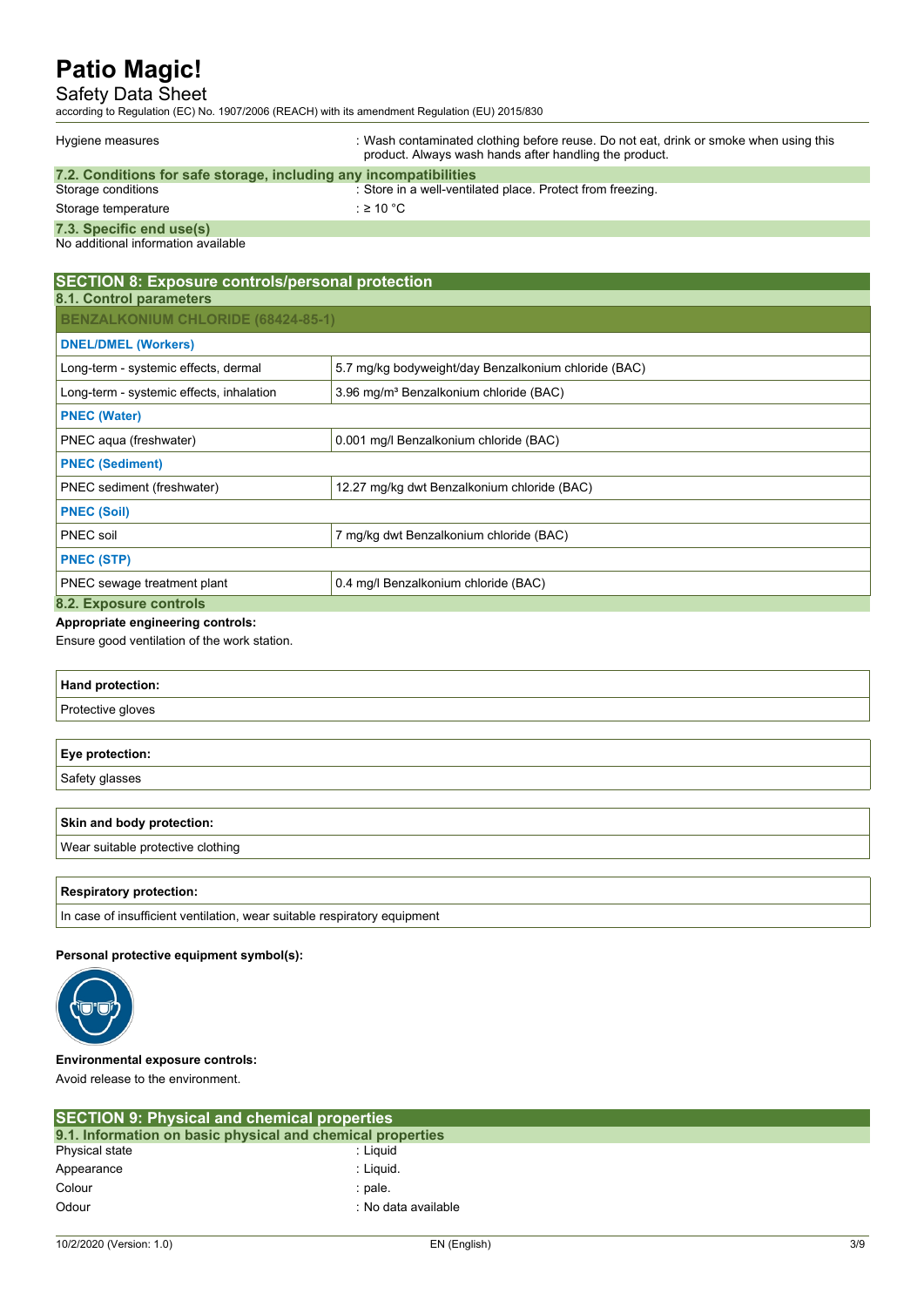### Safety Data Sheet

according to Regulation (EC) No. 1907/2006 (REACH) with its amendment Regulation (EU) 2015/830

| Hygiene measures                                                  | : Wash contaminated clothing before reuse. Do not eat, drink or smoke when using this<br>product. Always wash hands after handling the product. |
|-------------------------------------------------------------------|-------------------------------------------------------------------------------------------------------------------------------------------------|
| 7.2. Conditions for safe storage, including any incompatibilities |                                                                                                                                                 |
| Storage conditions                                                | : Store in a well-ventilated place. Protect from freezing.                                                                                      |
| Storage temperature                                               | : ≥ 10 °C                                                                                                                                       |
| 7.3. Specific end use(s)                                          |                                                                                                                                                 |
| No additional information available                               |                                                                                                                                                 |
|                                                                   |                                                                                                                                                 |

| <b>SECTION 8: Exposure controls/personal protection</b>                   |                                                      |  |  |
|---------------------------------------------------------------------------|------------------------------------------------------|--|--|
| 8.1. Control parameters                                                   |                                                      |  |  |
| <b>BENZALKONIUM CHLORIDE (68424-85-1)</b>                                 |                                                      |  |  |
| <b>DNEL/DMEL (Workers)</b>                                                |                                                      |  |  |
| Long-term - systemic effects, dermal                                      | 5.7 mg/kg bodyweight/day Benzalkonium chloride (BAC) |  |  |
| Long-term - systemic effects, inhalation                                  | 3.96 mg/m <sup>3</sup> Benzalkonium chloride (BAC)   |  |  |
| <b>PNEC (Water)</b>                                                       |                                                      |  |  |
| 0.001 mg/l Benzalkonium chloride (BAC)<br>PNEC aqua (freshwater)          |                                                      |  |  |
| <b>PNEC (Sediment)</b>                                                    |                                                      |  |  |
| PNEC sediment (freshwater)<br>12.27 mg/kg dwt Benzalkonium chloride (BAC) |                                                      |  |  |
| <b>PNEC (Soil)</b>                                                        |                                                      |  |  |
| PNEC soil<br>7 mg/kg dwt Benzalkonium chloride (BAC)                      |                                                      |  |  |
| <b>PNEC (STP)</b>                                                         |                                                      |  |  |
| 0.4 mg/l Benzalkonium chloride (BAC)<br>PNEC sewage treatment plant       |                                                      |  |  |
| 8.2. Exposure controls                                                    |                                                      |  |  |

### **Appropriate engineering controls:**

Ensure good ventilation of the work station.

| Hand protection:       |  |
|------------------------|--|
| Protective gloves      |  |
|                        |  |
| <b>Eye protection:</b> |  |
| Safety glasses         |  |

| Skin and body protection:         |  |
|-----------------------------------|--|
| Wear suitable protective clothing |  |
|                                   |  |

#### **Respiratory protection:**

In case of insufficient ventilation, wear suitable respiratory equipment

#### **Personal protective equipment symbol(s):**



### **Environmental exposure controls:**

Avoid release to the environment.

| <b>SECTION 9: Physical and chemical properties</b>         |                     |  |
|------------------------------------------------------------|---------------------|--|
| 9.1. Information on basic physical and chemical properties |                     |  |
| Physical state                                             | : Liauid            |  |
| Appearance                                                 | : Liauid.           |  |
| Colour                                                     | : pale.             |  |
| Odour                                                      | : No data available |  |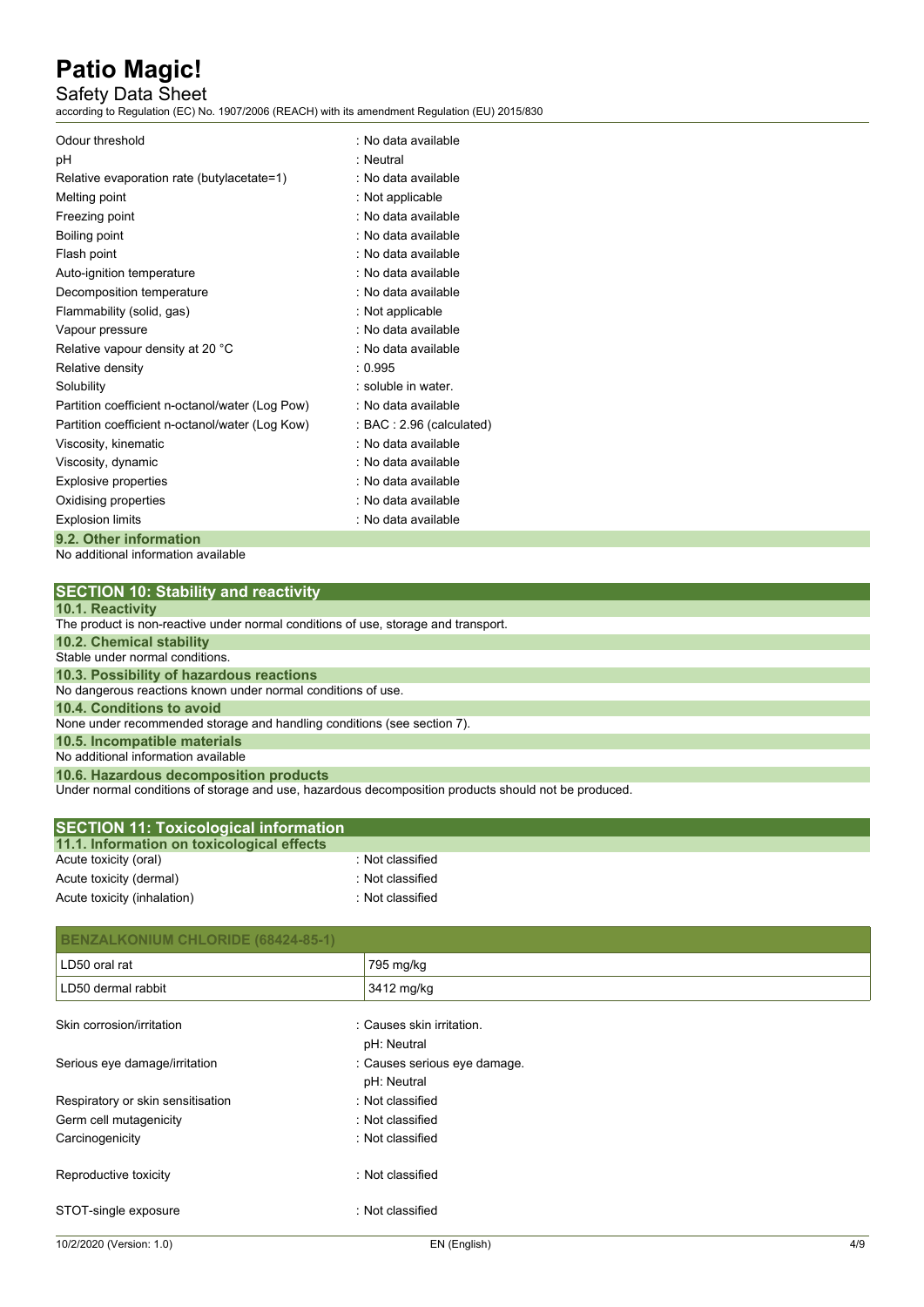### Safety Data Sheet

according to Regulation (EC) No. 1907/2006 (REACH) with its amendment Regulation (EU) 2015/830

| Odour threshold                                 | : No data available       |
|-------------------------------------------------|---------------------------|
| рH                                              | · Neutral                 |
| Relative evaporation rate (butylacetate=1)      | : No data available       |
| Melting point                                   | : Not applicable          |
| Freezing point                                  | : No data available       |
| Boiling point                                   | : No data available       |
| Flash point                                     | : No data available       |
| Auto-ignition temperature                       | : No data available       |
| Decomposition temperature                       | : No data available       |
| Flammability (solid, gas)                       | : Not applicable          |
| Vapour pressure                                 | : No data available       |
| Relative vapour density at 20 °C                | : No data available       |
| Relative density                                | : 0.995                   |
| Solubility                                      | : soluble in water.       |
| Partition coefficient n-octanol/water (Log Pow) | : No data available       |
| Partition coefficient n-octanol/water (Log Kow) | : BAC : 2.96 (calculated) |
| Viscosity, kinematic                            | : No data available       |
| Viscosity, dynamic                              | : No data available       |
| Explosive properties                            | : No data available       |
| Oxidising properties                            | : No data available       |
| <b>Explosion limits</b>                         | : No data available       |
| 9.2. Other information                          |                           |

No additional information available

| <b>SECTION 10: Stability and reactivity</b>                                                          |
|------------------------------------------------------------------------------------------------------|
| 10.1. Reactivity                                                                                     |
| The product is non-reactive under normal conditions of use, storage and transport.                   |
| <b>10.2. Chemical stability</b>                                                                      |
| Stable under normal conditions.                                                                      |
| 10.3. Possibility of hazardous reactions                                                             |
| No dangerous reactions known under normal conditions of use.                                         |
| 10.4. Conditions to avoid                                                                            |
| None under recommended storage and handling conditions (see section 7).                              |
| 10.5. Incompatible materials                                                                         |
| No additional information available                                                                  |
| 10.6. Hazardous decomposition products                                                               |
| Under normal conditions of storage and use, hazardous decomposition products should not be produced. |

| <b>SECTION 11: Toxicological information</b> |                  |  |
|----------------------------------------------|------------------|--|
| 11.1. Information on toxicological effects   |                  |  |
| Acute toxicity (oral)                        | : Not classified |  |
| Acute toxicity (dermal)                      | : Not classified |  |
| Acute toxicity (inhalation)                  | : Not classified |  |

| <b>BENZALKONIUM CHLORIDE (68424-85-1)</b> |                              |
|-------------------------------------------|------------------------------|
| LD50 oral rat                             | 795 mg/kg                    |
| LD50 dermal rabbit                        | 3412 mg/kg                   |
| Skin corrosion/irritation                 | : Causes skin irritation.    |
|                                           | pH: Neutral                  |
| Serious eye damage/irritation             | : Causes serious eye damage. |
|                                           | pH: Neutral                  |
| Respiratory or skin sensitisation         | : Not classified             |
| Germ cell mutagenicity                    | : Not classified             |
| Carcinogenicity                           | : Not classified             |
| Reproductive toxicity                     | : Not classified             |
| STOT-single exposure                      | : Not classified             |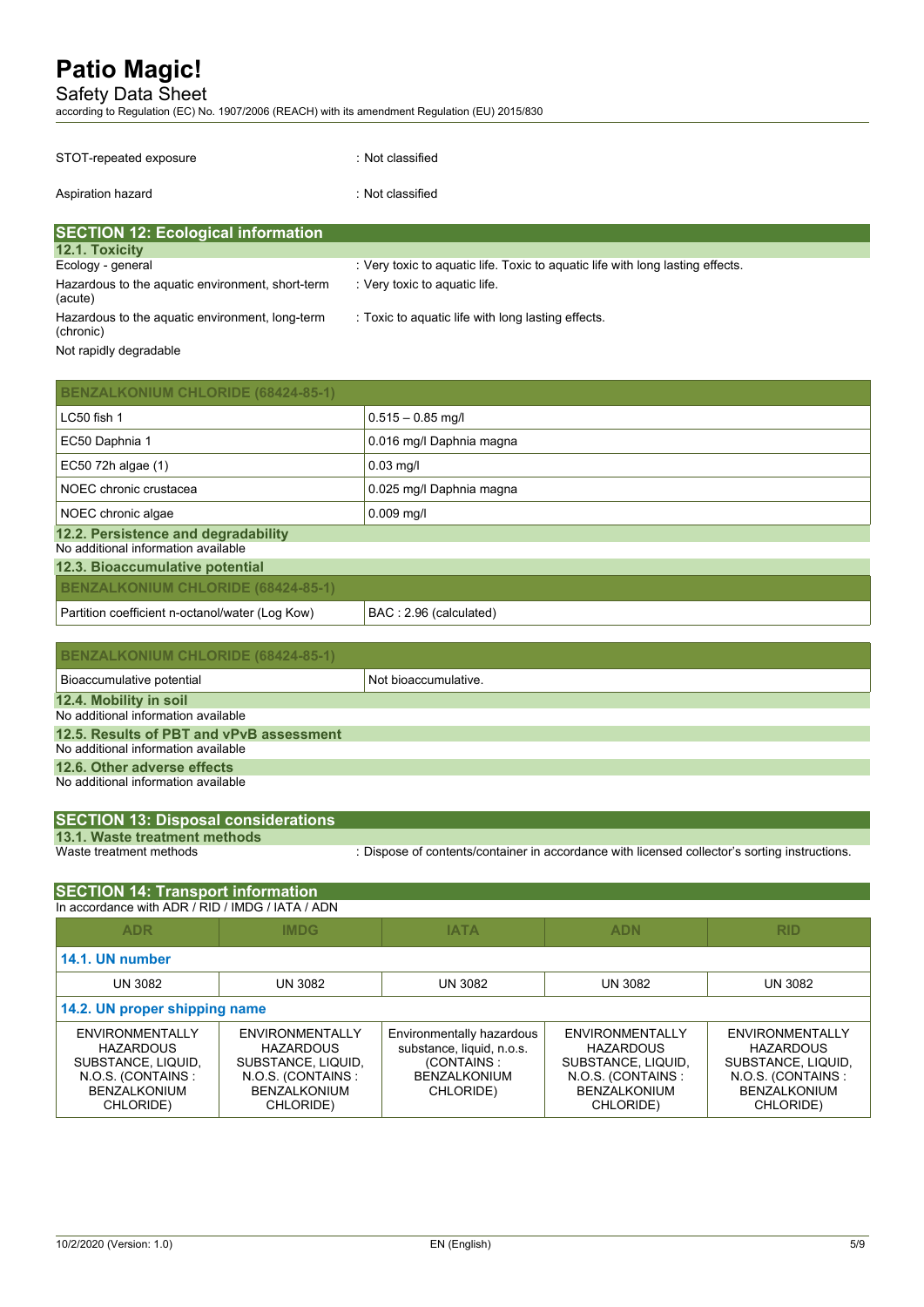Safety Data Sheet

according to Regulation (EC) No. 1907/2006 (REACH) with its amendment Regulation (EU) 2015/830

| STOT-repeated exposure                                       | : Not classified                                                             |
|--------------------------------------------------------------|------------------------------------------------------------------------------|
| Aspiration hazard                                            | : Not classified                                                             |
| <b>SECTION 12: Ecological information</b>                    |                                                                              |
| <b>12.1. Toxicity</b>                                        |                                                                              |
| Ecology - general                                            | Very toxic to aquatic life. Toxic to aquatic life with long lasting effects. |
| Hazardous to the aquatic environment, short-term<br>(acute)  | : Very toxic to aquatic life.                                                |
| Hazardous to the aquatic environment, long-term<br>(chronic) | : Toxic to aquatic life with long lasting effects.                           |
| Not rapidly degradable                                       |                                                                              |

| <b>BENZALKONIUM CHLORIDE (68424-85-1)</b>                                  |                          |
|----------------------------------------------------------------------------|--------------------------|
| LC50 fish 1                                                                | $0.515 - 0.85$ mg/l      |
| EC50 Daphnia 1                                                             | 0.016 mg/l Daphnia magna |
| EC50 72h algae (1)                                                         | $0.03$ mg/l              |
| NOEC chronic crustacea                                                     | 0.025 mg/l Daphnia magna |
| NOEC chronic algae                                                         | $0.009$ mg/l             |
| 12.2. Persistence and degradability<br>No additional information available |                          |
| 12.3. Bioaccumulative potential                                            |                          |
| <b>BENZALKONIUM CHLORIDE (68424-85-1)</b>                                  |                          |
| Partition coefficient n-octanol/water (Log Kow)                            | BAC: 2.96 (calculated)   |

| <b>BENZALKONIUM CHLORIDE (68424-85-1)</b>                                       |                      |  |
|---------------------------------------------------------------------------------|----------------------|--|
| Bioaccumulative potential                                                       | Not bioaccumulative. |  |
| 12.4. Mobility in soil<br>No additional information available                   |                      |  |
| 12.5. Results of PBT and vPvB assessment<br>No additional information available |                      |  |
| 12.6. Other adverse effects                                                     |                      |  |
| No additional information available                                             |                      |  |

| <b>SECTION 13: Disposal considerations</b> |  |
|--------------------------------------------|--|
| 13.1. Waste treatment methods              |  |

Waste treatment methods : Dispose of contents/container in accordance with licensed collector's sorting instructions.

| <b>SECTION 14: Transport information</b>                                                                           |                                                                                                                    |                                                                                                          |                                                                                                                    |                                                                                                                    |
|--------------------------------------------------------------------------------------------------------------------|--------------------------------------------------------------------------------------------------------------------|----------------------------------------------------------------------------------------------------------|--------------------------------------------------------------------------------------------------------------------|--------------------------------------------------------------------------------------------------------------------|
| In accordance with ADR / RID / IMDG / IATA / ADN                                                                   |                                                                                                                    |                                                                                                          |                                                                                                                    |                                                                                                                    |
| <b>ADR</b>                                                                                                         | <b>IMDG</b>                                                                                                        | <b>IATA</b>                                                                                              | <b>ADN</b>                                                                                                         | <b>RID</b>                                                                                                         |
| 14.1. UN number                                                                                                    |                                                                                                                    |                                                                                                          |                                                                                                                    |                                                                                                                    |
| <b>UN 3082</b>                                                                                                     | <b>UN 3082</b>                                                                                                     | <b>UN 3082</b>                                                                                           | <b>UN 3082</b>                                                                                                     | <b>UN 3082</b>                                                                                                     |
| 14.2. UN proper shipping name                                                                                      |                                                                                                                    |                                                                                                          |                                                                                                                    |                                                                                                                    |
| ENVIRONMENTALLY<br><b>HAZARDOUS</b><br>SUBSTANCE, LIQUID,<br>N.O.S. (CONTAINS:<br><b>BENZALKONIUM</b><br>CHLORIDE) | ENVIRONMENTALLY<br><b>HAZARDOUS</b><br>SUBSTANCE, LIQUID,<br>N.O.S. (CONTAINS:<br><b>BENZALKONIUM</b><br>CHLORIDE) | Environmentally hazardous<br>substance, liquid, n.o.s.<br>(CONTAINS:<br><b>BENZALKONIUM</b><br>CHLORIDE) | ENVIRONMENTALLY<br><b>HAZARDOUS</b><br>SUBSTANCE, LIQUID,<br>N.O.S. (CONTAINS:<br><b>BENZALKONIUM</b><br>CHLORIDE) | ENVIRONMENTALLY<br><b>HAZARDOUS</b><br>SUBSTANCE, LIQUID,<br>N.O.S. (CONTAINS:<br><b>BENZALKONIUM</b><br>CHLORIDE) |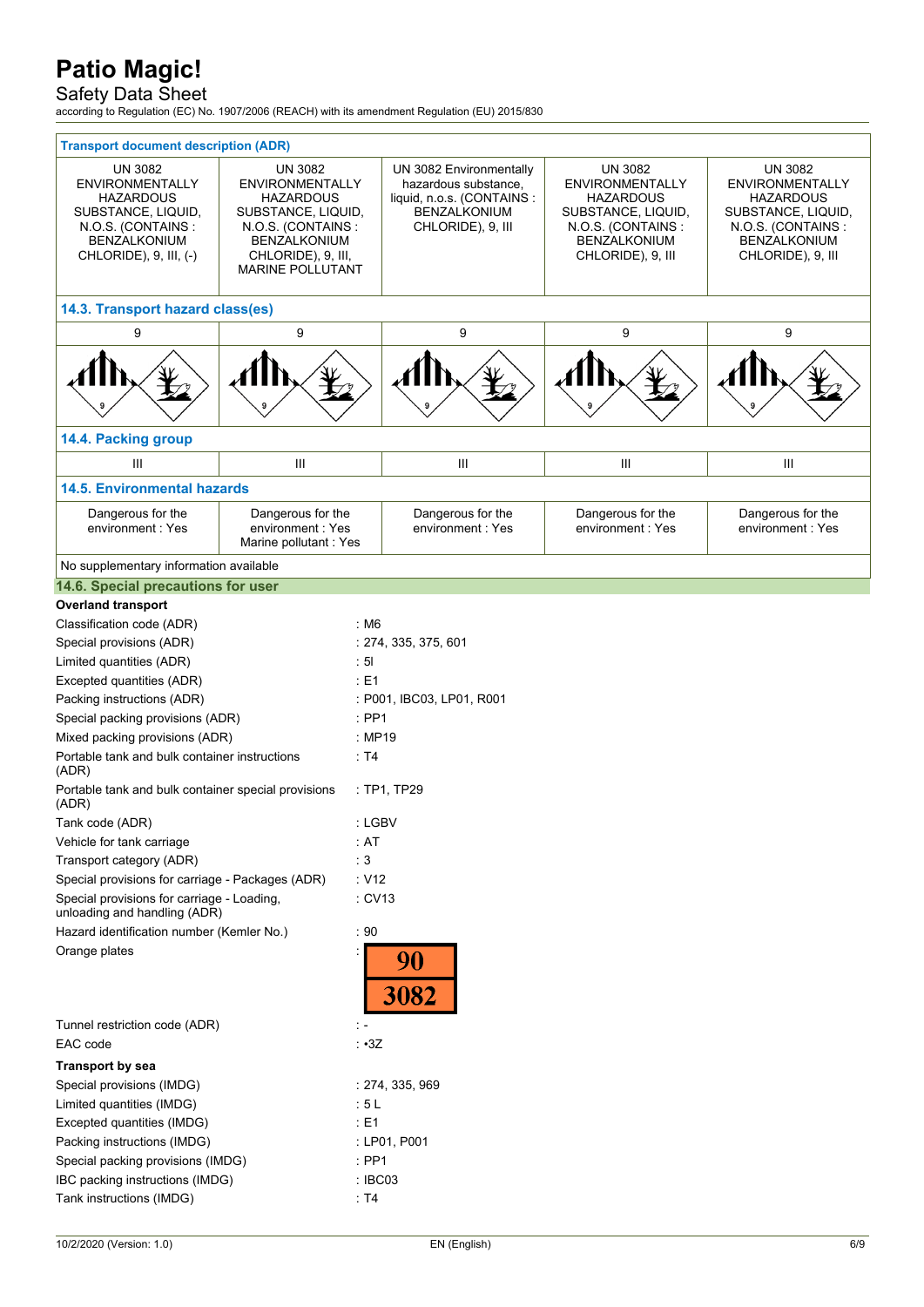### Safety Data Sheet

according to Regulation (EC) No. 1907/2006 (REACH) with its amendment Regulation (EU) 2015/830

| <b>Transport document description (ADR)</b>                                                                                                                   |                                                                                                                                                                                 |                    |                                                                                                                    |                                                                                                                                       |                                                                                                                                              |
|---------------------------------------------------------------------------------------------------------------------------------------------------------------|---------------------------------------------------------------------------------------------------------------------------------------------------------------------------------|--------------------|--------------------------------------------------------------------------------------------------------------------|---------------------------------------------------------------------------------------------------------------------------------------|----------------------------------------------------------------------------------------------------------------------------------------------|
| <b>UN 3082</b><br><b>ENVIRONMENTALLY</b><br><b>HAZARDOUS</b><br>SUBSTANCE, LIQUID,<br>N.O.S. (CONTAINS:<br><b>BENZALKONIUM</b><br>CHLORIDE), $9$ , III, $(-)$ | <b>UN 3082</b><br><b>ENVIRONMENTALLY</b><br><b>HAZARDOUS</b><br>SUBSTANCE, LIQUID,<br>N.O.S. (CONTAINS:<br><b>BENZALKONIUM</b><br>CHLORIDE), 9, III,<br><b>MARINE POLLUTANT</b> |                    | UN 3082 Environmentally<br>hazardous substance,<br>liquid, n.o.s. (CONTAINS :<br>BENZALKONIUM<br>CHLORIDE), 9, III | UN 3082<br><b>ENVIRONMENTALLY</b><br>HAZARDOUS<br>SUBSTANCE, LIQUID,<br>N.O.S. (CONTAINS:<br><b>BENZALKONIUM</b><br>CHLORIDE), 9, III | UN 3082<br><b>ENVIRONMENTALLY</b><br><b>HAZARDOUS</b><br>SUBSTANCE, LIQUID,<br>N.O.S. (CONTAINS:<br><b>BENZALKONIUM</b><br>CHLORIDE), 9, III |
| 14.3. Transport hazard class(es)                                                                                                                              |                                                                                                                                                                                 |                    |                                                                                                                    |                                                                                                                                       |                                                                                                                                              |
| 9                                                                                                                                                             | 9                                                                                                                                                                               |                    | 9                                                                                                                  | 9                                                                                                                                     | 9                                                                                                                                            |
|                                                                                                                                                               |                                                                                                                                                                                 |                    |                                                                                                                    |                                                                                                                                       |                                                                                                                                              |
|                                                                                                                                                               |                                                                                                                                                                                 |                    |                                                                                                                    |                                                                                                                                       |                                                                                                                                              |
| 14.4. Packing group                                                                                                                                           |                                                                                                                                                                                 |                    |                                                                                                                    |                                                                                                                                       |                                                                                                                                              |
| Ш                                                                                                                                                             | $\mathbf{III}$                                                                                                                                                                  |                    | III                                                                                                                | Ш                                                                                                                                     | Ш                                                                                                                                            |
| <b>14.5. Environmental hazards</b>                                                                                                                            |                                                                                                                                                                                 |                    |                                                                                                                    |                                                                                                                                       |                                                                                                                                              |
| Dangerous for the<br>environment: Yes                                                                                                                         | Dangerous for the<br>environment: Yes<br>Marine pollutant: Yes                                                                                                                  |                    | Dangerous for the<br>environment : Yes                                                                             | Dangerous for the<br>environment: Yes                                                                                                 | Dangerous for the<br>environment: Yes                                                                                                        |
| No supplementary information available                                                                                                                        |                                                                                                                                                                                 |                    |                                                                                                                    |                                                                                                                                       |                                                                                                                                              |
| 14.6. Special precautions for user                                                                                                                            |                                                                                                                                                                                 |                    |                                                                                                                    |                                                                                                                                       |                                                                                                                                              |
| <b>Overland transport</b>                                                                                                                                     |                                                                                                                                                                                 |                    |                                                                                                                    |                                                                                                                                       |                                                                                                                                              |
| Classification code (ADR)                                                                                                                                     |                                                                                                                                                                                 | :M6                |                                                                                                                    |                                                                                                                                       |                                                                                                                                              |
| Special provisions (ADR)                                                                                                                                      |                                                                                                                                                                                 |                    | : 274, 335, 375, 601                                                                                               |                                                                                                                                       |                                                                                                                                              |
| Limited quantities (ADR)                                                                                                                                      |                                                                                                                                                                                 | $\cdot$ 5          |                                                                                                                    |                                                                                                                                       |                                                                                                                                              |
| Excepted quantities (ADR)                                                                                                                                     |                                                                                                                                                                                 | $E = 1$            |                                                                                                                    |                                                                                                                                       |                                                                                                                                              |
| Packing instructions (ADR)                                                                                                                                    |                                                                                                                                                                                 |                    | : P001, IBC03, LP01, R001                                                                                          |                                                                                                                                       |                                                                                                                                              |
| Special packing provisions (ADR)                                                                                                                              |                                                                                                                                                                                 | $:$ PP1            |                                                                                                                    |                                                                                                                                       |                                                                                                                                              |
| Mixed packing provisions (ADR)                                                                                                                                |                                                                                                                                                                                 | : MP19             |                                                                                                                    |                                                                                                                                       |                                                                                                                                              |
| Portable tank and bulk container instructions<br>(ADR)                                                                                                        |                                                                                                                                                                                 | : T4               |                                                                                                                    |                                                                                                                                       |                                                                                                                                              |
| Portable tank and bulk container special provisions<br>(ADR)                                                                                                  |                                                                                                                                                                                 |                    | : TP1, TP29                                                                                                        |                                                                                                                                       |                                                                                                                                              |
| Tank code (ADR)                                                                                                                                               |                                                                                                                                                                                 | : LGBV             |                                                                                                                    |                                                                                                                                       |                                                                                                                                              |
| Vehicle for tank carriage                                                                                                                                     |                                                                                                                                                                                 | : AT               |                                                                                                                    |                                                                                                                                       |                                                                                                                                              |
| Transport category (ADR)                                                                                                                                      |                                                                                                                                                                                 | :3                 |                                                                                                                    |                                                                                                                                       |                                                                                                                                              |
| Special provisions for carriage - Packages (ADR)                                                                                                              |                                                                                                                                                                                 | : V12              |                                                                                                                    |                                                                                                                                       |                                                                                                                                              |
| Special provisions for carriage - Loading,<br>unloading and handling (ADR)                                                                                    |                                                                                                                                                                                 | $:$ CV13           |                                                                                                                    |                                                                                                                                       |                                                                                                                                              |
| Hazard identification number (Kemler No.)                                                                                                                     |                                                                                                                                                                                 | $\cdot$ 90         |                                                                                                                    |                                                                                                                                       |                                                                                                                                              |
| Orange plates                                                                                                                                                 |                                                                                                                                                                                 |                    | 90<br>3082                                                                                                         |                                                                                                                                       |                                                                                                                                              |
| Tunnel restriction code (ADR)                                                                                                                                 |                                                                                                                                                                                 |                    |                                                                                                                    |                                                                                                                                       |                                                                                                                                              |
| EAC code                                                                                                                                                      |                                                                                                                                                                                 | $\cdot$ $\cdot$ 3Z |                                                                                                                    |                                                                                                                                       |                                                                                                                                              |
| <b>Transport by sea</b>                                                                                                                                       |                                                                                                                                                                                 |                    |                                                                                                                    |                                                                                                                                       |                                                                                                                                              |
| Special provisions (IMDG)                                                                                                                                     |                                                                                                                                                                                 |                    | : 274, 335, 969                                                                                                    |                                                                                                                                       |                                                                                                                                              |
| Limited quantities (IMDG)                                                                                                                                     |                                                                                                                                                                                 | :5L                |                                                                                                                    |                                                                                                                                       |                                                                                                                                              |
| Excepted quantities (IMDG)                                                                                                                                    |                                                                                                                                                                                 | $\div$ E1          |                                                                                                                    |                                                                                                                                       |                                                                                                                                              |
| Packing instructions (IMDG)                                                                                                                                   |                                                                                                                                                                                 |                    | : LP01, P001                                                                                                       |                                                                                                                                       |                                                                                                                                              |
| Special packing provisions (IMDG)                                                                                                                             |                                                                                                                                                                                 | $:$ PP1            |                                                                                                                    |                                                                                                                                       |                                                                                                                                              |
| IBC packing instructions (IMDG)                                                                                                                               |                                                                                                                                                                                 | : IBC03            |                                                                                                                    |                                                                                                                                       |                                                                                                                                              |
| Tank instructions (IMDG)                                                                                                                                      |                                                                                                                                                                                 | $\cdot$ T4         |                                                                                                                    |                                                                                                                                       |                                                                                                                                              |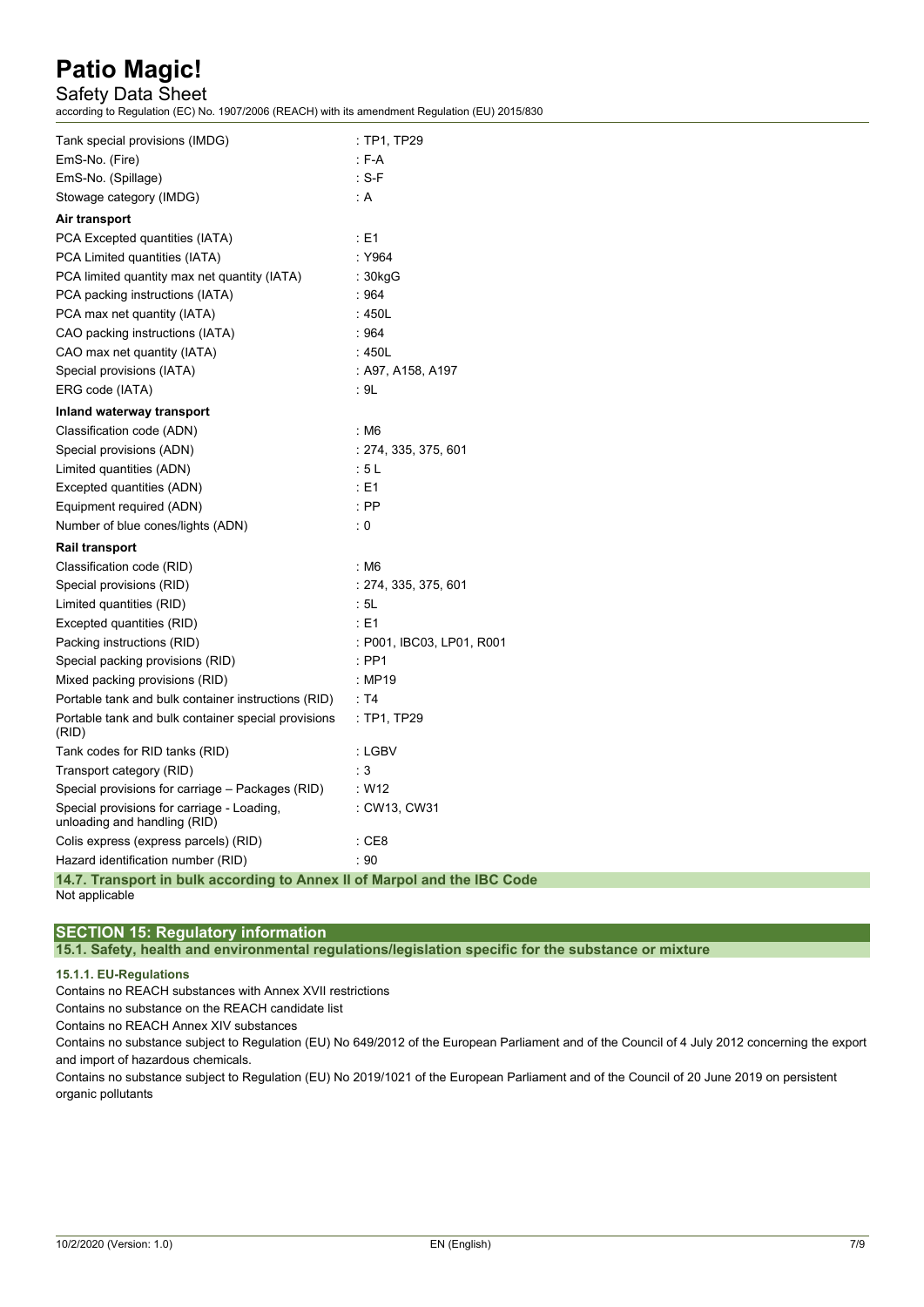### Safety Data Sheet

according to Regulation (EC) No. 1907/2006 (REACH) with its amendment Regulation (EU) 2015/830

| Tank special provisions (IMDG)                                             | : TP1, TP29               |
|----------------------------------------------------------------------------|---------------------------|
| EmS-No. (Fire)                                                             | $: F-A$                   |
| EmS-No. (Spillage)                                                         | $: S-F$                   |
| Stowage category (IMDG)                                                    | : A                       |
| Air transport                                                              |                           |
| PCA Excepted quantities (IATA)                                             | $\div$ E1                 |
| PCA Limited quantities (IATA)                                              | : Y964                    |
| PCA limited quantity max net quantity (IATA)                               | : 30kgG                   |
| PCA packing instructions (IATA)                                            | :964                      |
| PCA max net quantity (IATA)                                                | :450L                     |
| CAO packing instructions (IATA)                                            | :964                      |
| CAO max net quantity (IATA)                                                | :450L                     |
| Special provisions (IATA)                                                  | : A97, A158, A197         |
| ERG code (IATA)                                                            | : 9L                      |
| Inland waterway transport                                                  |                           |
| Classification code (ADN)                                                  | : M6                      |
| Special provisions (ADN)                                                   | : 274, 335, 375, 601      |
| Limited quantities (ADN)                                                   | :5L                       |
| Excepted quantities (ADN)                                                  | : E1                      |
| Equipment required (ADN)                                                   | $:$ PP                    |
| Number of blue cones/lights (ADN)                                          | $\therefore$ 0            |
| Rail transport                                                             |                           |
| Classification code (RID)                                                  | : M6                      |
| Special provisions (RID)                                                   | : 274, 335, 375, 601      |
| Limited quantities (RID)                                                   | : 5L                      |
| Excepted quantities (RID)                                                  | : E1                      |
| Packing instructions (RID)                                                 | : P001, IBC03, LP01, R001 |
| Special packing provisions (RID)                                           | $:$ PP1                   |
| Mixed packing provisions (RID)                                             | : MP19                    |
| Portable tank and bulk container instructions (RID)                        | $\cdot$ T4                |
| Portable tank and bulk container special provisions<br>(RID)               | : TP1, TP29               |
| Tank codes for RID tanks (RID)                                             | : LGBV                    |
| Transport category (RID)                                                   | $\therefore$ 3            |
| Special provisions for carriage - Packages (RID)                           | : W12                     |
| Special provisions for carriage - Loading,<br>unloading and handling (RID) | : CW13, CW31              |
| Colis express (express parcels) (RID)                                      | $\cdot$ CE8               |
| Hazard identification number (RID)                                         | $\cdot$ 90                |
| 14.7. Transport in bulk according to Annex II of Marpol and the IBC Code   |                           |
|                                                                            |                           |

Not applicable

### **SECTION 15: Regulatory information**

**15.1. Safety, health and environmental regulations/legislation specific for the substance or mixture**

#### **15.1.1. EU-Regulations**

Contains no REACH substances with Annex XVII restrictions

Contains no substance on the REACH candidate list

Contains no REACH Annex XIV substances

Contains no substance subject to Regulation (EU) No 649/2012 of the European Parliament and of the Council of 4 July 2012 concerning the export and import of hazardous chemicals.

Contains no substance subject to Regulation (EU) No 2019/1021 of the European Parliament and of the Council of 20 June 2019 on persistent organic pollutants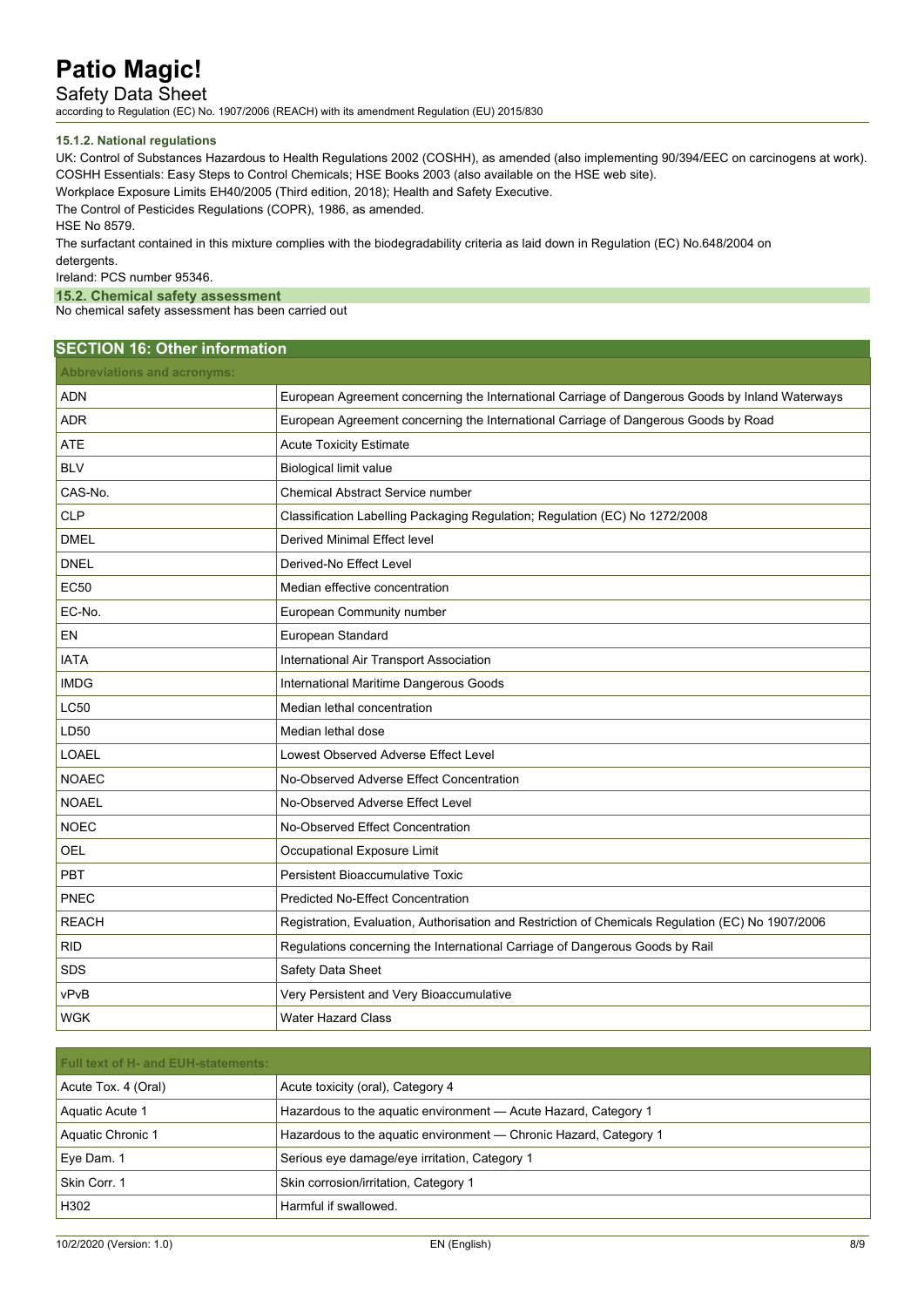Safety Data Sheet

according to Regulation (EC) No. 1907/2006 (REACH) with its amendment Regulation (EU) 2015/830

#### **15.1.2. National regulations**

UK: Control of Substances Hazardous to Health Regulations 2002 (COSHH), as amended (also implementing 90/394/EEC on carcinogens at work). COSHH Essentials: Easy Steps to Control Chemicals; HSE Books 2003 (also available on the HSE web site).

Workplace Exposure Limits EH40/2005 (Third edition, 2018); Health and Safety Executive.

The Control of Pesticides Regulations (COPR), 1986, as amended.

HSE No 8579.

The surfactant contained in this mixture complies with the biodegradability criteria as laid down in Regulation (EC) No.648/2004 on detergents.

Ireland: PCS number 95346.

**15.2. Chemical safety assessment**

No chemical safety assessment has been carried out

### **SECTION 16: Other information**

| <b>Abbreviations and acronyms:</b> |                                                                                                   |
|------------------------------------|---------------------------------------------------------------------------------------------------|
| <b>ADN</b>                         | European Agreement concerning the International Carriage of Dangerous Goods by Inland Waterways   |
| <b>ADR</b>                         | European Agreement concerning the International Carriage of Dangerous Goods by Road               |
| <b>ATE</b>                         | <b>Acute Toxicity Estimate</b>                                                                    |
| <b>BLV</b>                         | Biological limit value                                                                            |
| CAS-No.                            | <b>Chemical Abstract Service number</b>                                                           |
| <b>CLP</b>                         | Classification Labelling Packaging Regulation; Regulation (EC) No 1272/2008                       |
| <b>DMEL</b>                        | <b>Derived Minimal Effect level</b>                                                               |
| <b>DNEL</b>                        | Derived-No Effect Level                                                                           |
| <b>EC50</b>                        | Median effective concentration                                                                    |
| EC-No.                             | European Community number                                                                         |
| EN                                 | European Standard                                                                                 |
| <b>IATA</b>                        | International Air Transport Association                                                           |
| <b>IMDG</b>                        | International Maritime Dangerous Goods                                                            |
| <b>LC50</b>                        | Median lethal concentration                                                                       |
| LD50                               | Median lethal dose                                                                                |
| <b>LOAEL</b>                       | Lowest Observed Adverse Effect Level                                                              |
| <b>NOAEC</b>                       | No-Observed Adverse Effect Concentration                                                          |
| <b>NOAEL</b>                       | No-Observed Adverse Effect Level                                                                  |
| <b>NOEC</b>                        | No-Observed Effect Concentration                                                                  |
| OEL                                | Occupational Exposure Limit                                                                       |
| PBT                                | Persistent Bioaccumulative Toxic                                                                  |
| PNEC                               | <b>Predicted No-Effect Concentration</b>                                                          |
| <b>REACH</b>                       | Registration, Evaluation, Authorisation and Restriction of Chemicals Regulation (EC) No 1907/2006 |
| <b>RID</b>                         | Regulations concerning the International Carriage of Dangerous Goods by Rail                      |
| <b>SDS</b>                         | Safety Data Sheet                                                                                 |
| vPvB                               | Very Persistent and Very Bioaccumulative                                                          |
| <b>WGK</b>                         | <b>Water Hazard Class</b>                                                                         |

| <b>Full text of H- and EUH-statements:</b> |                                                                   |  |  |
|--------------------------------------------|-------------------------------------------------------------------|--|--|
| Acute Tox. 4 (Oral)                        | Acute toxicity (oral), Category 4                                 |  |  |
| Aquatic Acute 1                            | Hazardous to the aquatic environment - Acute Hazard, Category 1   |  |  |
| Aquatic Chronic 1                          | Hazardous to the aquatic environment — Chronic Hazard, Category 1 |  |  |
| , Eye Dam. 1                               | Serious eye damage/eye irritation, Category 1                     |  |  |
| Skin Corr. 1                               | Skin corrosion/irritation, Category 1                             |  |  |
| H302                                       | Harmful if swallowed.                                             |  |  |